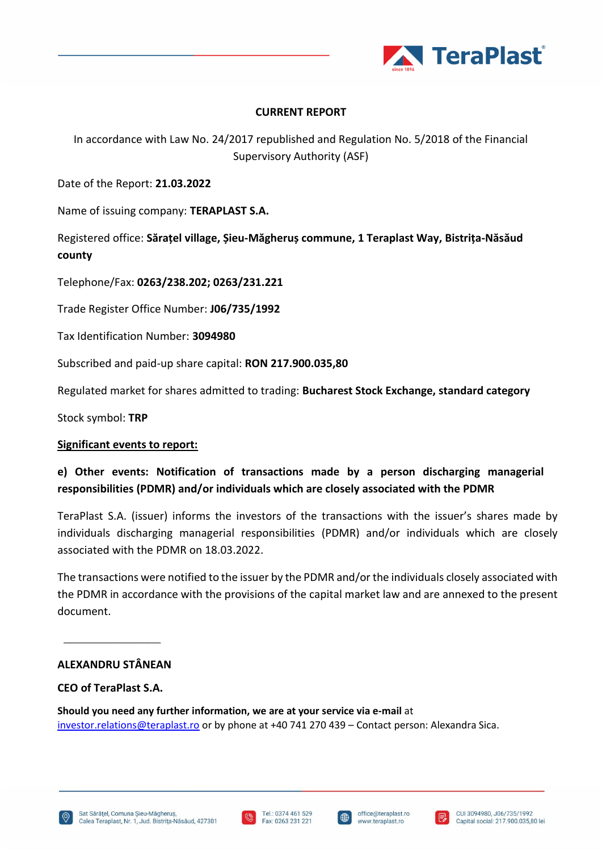

## **CURRENT REPORT**

In accordance with Law No. 24/2017 republished and Regulation No. 5/2018 of the Financial Supervisory Authority (ASF)

Date of the Report: **21.03.2022**

Name of issuing company: **TERAPLAST S.A.**

Registered office: **Sărațel village, Șieu-Măgheruș commune, 1 Teraplast Way, Bistrița-Năsăud county**

Telephone/Fax: **0263/238.202; 0263/231.221**

Trade Register Office Number: **J06/735/1992**

Tax Identification Number: **3094980**

Subscribed and paid-up share capital: **RON 217.900.035,80** 

Regulated market for shares admitted to trading: **Bucharest Stock Exchange, standard category**

Stock symbol: **TRP**

### **Significant events to report:**

**e) Other events: Notification of transactions made by a person discharging managerial responsibilities (PDMR) and/or individuals which are closely associated with the PDMR**

TeraPlast S.A. (issuer) informs the investors of the transactions with the issuer's shares made by individuals discharging managerial responsibilities (PDMR) and/or individuals which are closely associated with the PDMR on 18.03.2022.

The transactions were notified to the issuer by the PDMR and/or the individuals closely associated with the PDMR in accordance with the provisions of the capital market law and are annexed to the present document.

\_\_\_\_\_\_\_\_\_\_\_\_\_\_\_\_

# **ALEXANDRU STÂNEAN**

## **CEO of TeraPlast S.A.**

**Should you need any further information, we are at your service via e-mail** at [investor.relations@teraplast.ro](mailto:investor.relations@teraplast.ro) or by phone at +40 741 270 439 – Contact person: Alexandra Sica.